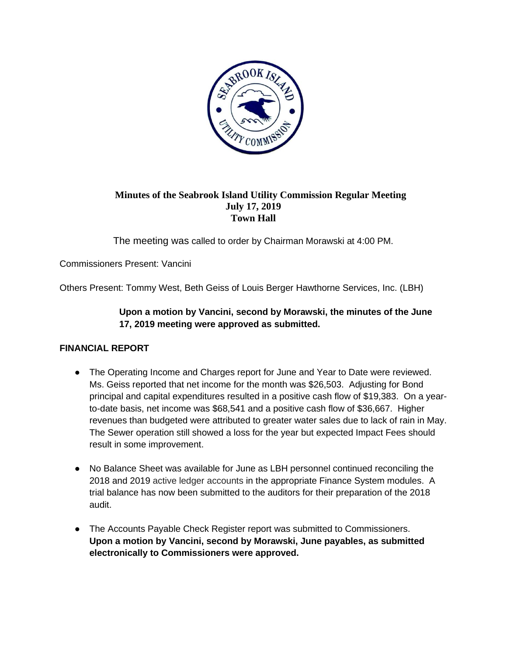

# **Minutes of the Seabrook Island Utility Commission Regular Meeting July 17, 2019 Town Hall**

The meeting was called to order by Chairman Morawski at 4:00 PM.

Commissioners Present: Vancini

Others Present: Tommy West, Beth Geiss of Louis Berger Hawthorne Services, Inc. (LBH)

# **Upon a motion by Vancini, second by Morawski, the minutes of the June 17, 2019 meeting were approved as submitted.**

## **FINANCIAL REPORT**

- The Operating Income and Charges report for June and Year to Date were reviewed. Ms. Geiss reported that net income for the month was \$26,503. Adjusting for Bond principal and capital expenditures resulted in a positive cash flow of \$19,383. On a yearto-date basis, net income was \$68,541 and a positive cash flow of \$36,667. Higher revenues than budgeted were attributed to greater water sales due to lack of rain in May. The Sewer operation still showed a loss for the year but expected Impact Fees should result in some improvement.
- No Balance Sheet was available for June as LBH personnel continued reconciling the 2018 and 2019 active ledger accounts in the appropriate Finance System modules. A trial balance has now been submitted to the auditors for their preparation of the 2018 audit.
- The Accounts Payable Check Register report was submitted to Commissioners. **Upon a motion by Vancini, second by Morawski, June payables, as submitted electronically to Commissioners were approved.**